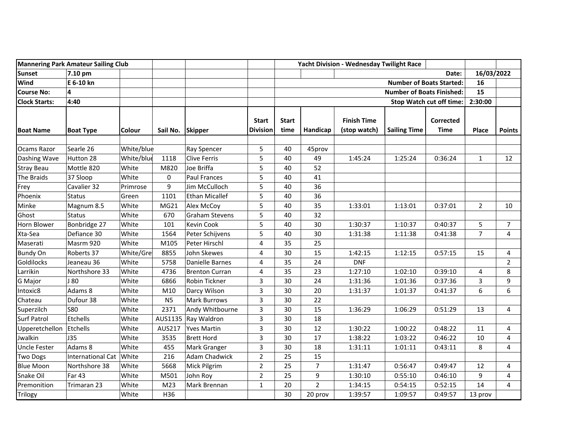| <b>Mannering Park Amateur Sailing Club</b> |                          |               |                  | Yacht Division - Wednesday Twilight Race |                                  |                      |                |                                    |                     |                                 |                |                |
|--------------------------------------------|--------------------------|---------------|------------------|------------------------------------------|----------------------------------|----------------------|----------------|------------------------------------|---------------------|---------------------------------|----------------|----------------|
| <b>Sunset</b>                              | 7.10 pm                  |               |                  |                                          |                                  |                      |                |                                    |                     | Date:                           | 16/03/2022     |                |
| Wind                                       | E 6-10 kn                |               |                  |                                          | <b>Number of Boats Started:</b>  |                      |                |                                    |                     | 16                              |                |                |
| <b>Course No:</b>                          | 4                        |               |                  |                                          | <b>Number of Boats Finished:</b> |                      |                |                                    |                     | 15                              |                |                |
| <b>Clock Starts:</b>                       | 4:40                     |               |                  |                                          |                                  |                      |                |                                    |                     | <b>Stop Watch cut off time:</b> | 2:30:00        |                |
| <b>Boat Name</b>                           | <b>Boat Type</b>         | <b>Colour</b> | Sail No. Skipper |                                          | <b>Start</b><br><b>Division</b>  | <b>Start</b><br>time | Handicap       | <b>Finish Time</b><br>(stop watch) | <b>Sailing Time</b> | <b>Corrected</b><br><b>Time</b> | <b>Place</b>   | <b>Points</b>  |
| Ocams Razor                                | Searle 26                | White/blue    |                  | Ray Spencer                              | 5                                | 40                   | 45prov         |                                    |                     |                                 |                |                |
| Dashing Wave                               | Hutton 28                | White/blue    | 1118             | <b>Clive Ferris</b>                      | 5                                | 40                   | 49             | 1:45:24                            | 1:25:24             | 0:36:24                         | $\mathbf{1}$   | 12             |
| <b>Stray Beau</b>                          | Mottle 820               | White         | M820             | Joe Briffa                               | 5                                | 40                   | 52             |                                    |                     |                                 |                |                |
| The Braids                                 | 37 Sloop                 | White         | 0                | Paul Frances                             | 5                                | 40                   | 41             |                                    |                     |                                 |                |                |
| Frey                                       | Cavalier 32              | Primrose      | 9                | Jim McCulloch                            | 5                                | 40                   | 36             |                                    |                     |                                 |                |                |
| Phoenix                                    | <b>Status</b>            | Green         | 1101             | Ethan Micallef                           | 5                                | 40                   | 36             |                                    |                     |                                 |                |                |
| Minke                                      | Magnum 8.5               | White         | MG21             | Alex McCoy                               | 5                                | 40                   | 35             | 1:33:01                            | 1:13:01             | 0:37:01                         | $\overline{2}$ | 10             |
| Ghost                                      | <b>Status</b>            | White         | 670              | <b>Graham Stevens</b>                    | 5                                | 40                   | 32             |                                    |                     |                                 |                |                |
| <b>Horn Blower</b>                         | Bonbridge 27             | White         | 101              | Kevin Cook                               | 5                                | 40                   | 30             | 1:30:37                            | 1:10:37             | 0:40:37                         | 5              | $\overline{7}$ |
| Xta-Sea                                    | Defiance 30              | White         | 1564             | Peter Schijvens                          | 5                                | 40                   | 30             | 1:31:38                            | 1:11:38             | 0:41:38                         | $\overline{7}$ | $\overline{4}$ |
| Maserati                                   | Masrm 920                | White         | M105             | Peter Hirschl                            | $\overline{\mathbf{4}}$          | 35                   | 25             |                                    |                     |                                 |                |                |
| <b>Bundy On</b>                            | Roberts 37               | White/Gre     | 8855             | John Skewes                              | 4                                | 30                   | 15             | 1:42:15                            | 1:12:15             | 0:57:15                         | 15             | 4              |
| Goldilocks                                 | Jeaneau 36               | White         | 5758             | Danielle Barnes                          | 4                                | 35                   | 24             | <b>DNF</b>                         |                     |                                 |                | $\overline{2}$ |
| Larrikin                                   | Northshore 33            | White         | 4736             | Brenton Curran                           | 4                                | 35                   | 23             | 1:27:10                            | 1:02:10             | 0:39:10                         | 4              | 8              |
| G Major                                    | J 80                     | White         | 6866             | Robin Tickner                            | 3                                | 30                   | 24             | 1:31:36                            | 1:01:36             | 0:37:36                         | 3              | 9              |
| Intoxic8                                   | Adams 8                  | White         | M10              | Darcy Wilson                             | 3                                | 30                   | 20             | 1:31:37                            | 1:01:37             | 0:41:37                         | 6              | 6              |
| Chateau                                    | Dufour 38                | White         | <b>N5</b>        | <b>Mark Burrows</b>                      | 3                                | 30                   | 22             |                                    |                     |                                 |                |                |
| Superzilch                                 | <b>S80</b>               | White         | 2371             | Andy Whitbourne                          | 3                                | 30                   | 15             | 1:36:29                            | 1:06:29             | 0:51:29                         | 13             | 4              |
| <b>Surf Patrol</b>                         | Etchells                 | White         |                  | AUS1135 Ray Waldron                      | 3                                | 30                   | 18             |                                    |                     |                                 |                |                |
| Upperetchellon                             | Etchells                 | White         | AUS217           | Yves Martin                              | 3                                | 30                   | 12             | 1:30:22                            | 1:00:22             | 0:48:22                         | 11             | $\overline{4}$ |
| Jwalkin                                    | <b>J35</b>               | White         | 3535             | Brett Hord                               | 3                                | 30                   | 17             | 1:38:22                            | 1:03:22             | 0:46:22                         | 10             | $\overline{4}$ |
| <b>Uncle Fester</b>                        | Adams 8                  | White         | 455              | Mark Granger                             | 3                                | 30                   | 18             | 1:31:11                            | 1:01:11             | 0:43:11                         | 8              | $\overline{4}$ |
| <b>Two Dogs</b>                            | <b>International Cat</b> | White         | 216              | <b>Adam Chadwick</b>                     | $\overline{2}$                   | 25                   | 15             |                                    |                     |                                 |                |                |
| <b>Blue Moon</b>                           | Northshore 38            | White         | 5668             | Mick Pilgrim                             | $\overline{2}$                   | 25                   | $\overline{7}$ | 1:31:47                            | 0:56:47             | 0:49:47                         | 12             | 4              |
| Snake Oil                                  | <b>Far 43</b>            | White         | M501             | John Roy                                 | $\overline{2}$                   | 25                   | 9              | 1:30:10                            | 0:55:10             | 0:46:10                         | 9              | $\overline{4}$ |
| Premonition                                | Trimaran 23              | White         | M <sub>23</sub>  | Mark Brennan                             | $\mathbf{1}$                     | 20                   | $\overline{2}$ | 1:34:15                            | 0:54:15             | 0:52:15                         | 14             | 4              |
| Trilogy                                    |                          | White         | H36              |                                          |                                  | 30                   | 20 prov        | 1:39:57                            | 1:09:57             | 0:49:57                         | 13 prov        |                |